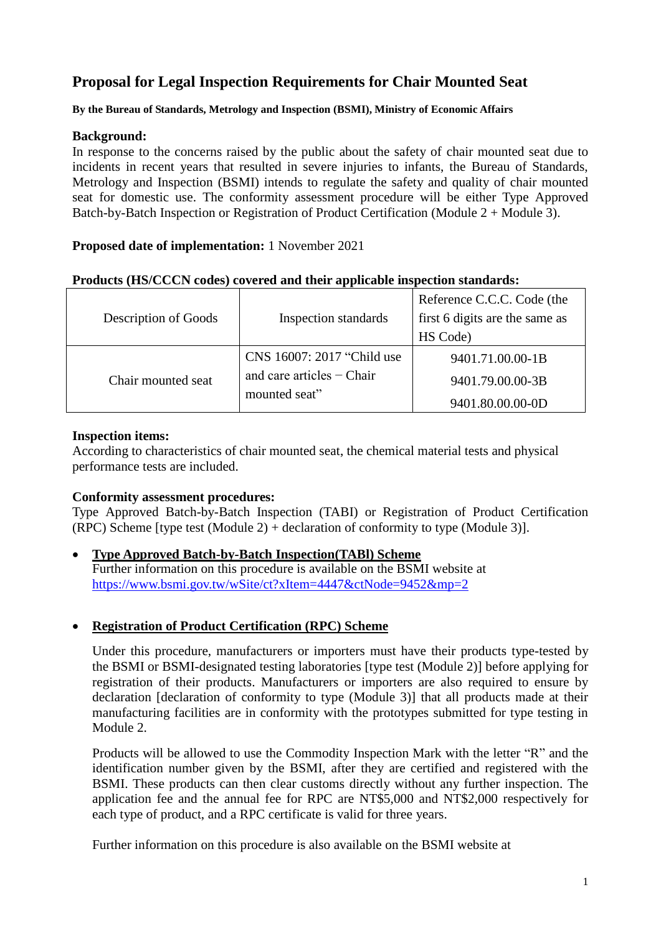# **Proposal for Legal Inspection Requirements for Chair Mounted Seat**

#### **By the Bureau of Standards, Metrology and Inspection (BSMI), Ministry of Economic Affairs**

#### **Background:**

In response to the concerns raised by the public about the safety of chair mounted seat due to incidents in recent years that resulted in severe injuries to infants, the Bureau of Standards, Metrology and Inspection (BSMI) intends to regulate the safety and quality of chair mounted seat for domestic use. The conformity assessment procedure will be either Type Approved Batch-by-Batch Inspection or Registration of Product Certification (Module  $2 +$  Module 3).

## **Proposed date of implementation:** 1 November 2021

| Products (HS/CCCN codes) covered and their applicable inspection standards: |  |  |
|-----------------------------------------------------------------------------|--|--|
|                                                                             |  |  |

| Description of Goods | Inspection standards                         | Reference C.C.C. Code (the<br>first 6 digits are the same as<br>HS Code) |
|----------------------|----------------------------------------------|--------------------------------------------------------------------------|
|                      | CNS 16007: 2017 "Child use                   | 9401.71.00.00-1B                                                         |
| Chair mounted seat   | and care articles $-$ Chair<br>mounted seat" | 9401.79.00.00-3B                                                         |
|                      |                                              | 9401.80.00.00-0D                                                         |

## **Inspection items:**

According to characteristics of chair mounted seat, the chemical material tests and physical performance tests are included.

## **Conformity assessment procedures:**

Type Approved Batch-by-Batch Inspection (TABI) or Registration of Product Certification (RPC) Scheme [type test (Module 2) + declaration of conformity to type (Module 3)].

 **Type Approved Batch-by-Batch Inspection(TABl) Scheme** Further information on this procedure is available on the BSMI website at <https://www.bsmi.gov.tw/wSite/ct?xItem=4447&ctNode=9452&mp=2>

## **Registration of Product Certification (RPC) Scheme**

Under this procedure, manufacturers or importers must have their products type-tested by the BSMI or BSMI-designated testing laboratories [type test (Module 2)] before applying for registration of their products. Manufacturers or importers are also required to ensure by declaration [declaration of conformity to type (Module 3)] that all products made at their manufacturing facilities are in conformity with the prototypes submitted for type testing in Module 2.

Products will be allowed to use the Commodity Inspection Mark with the letter "R" and the identification number given by the BSMI, after they are certified and registered with the BSMI. These products can then clear customs directly without any further inspection. The application fee and the annual fee for RPC are NT\$5,000 and NT\$2,000 respectively for each type of product, and a RPC certificate is valid for three years.

Further information on this procedure is also available on the BSMI website at